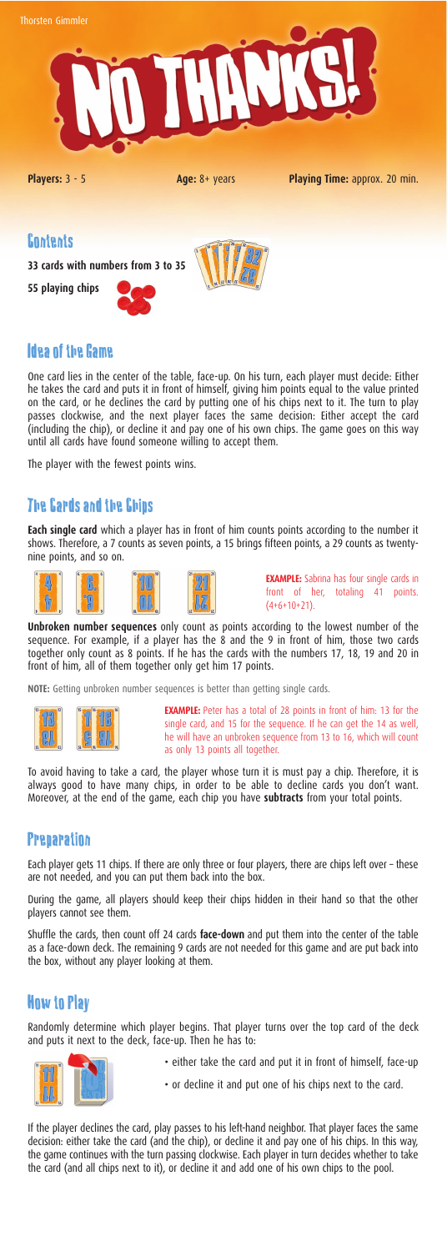#### Contents

**33 cards with numbers from 3 to 35**

**55 playing chips**





## Idea of the Game

One card lies in the center of the table, face-up. On his turn, each player must decide: Either he takes the card and puts it in front of himself, giving him points equal to the value printed on the card, or he declines the card by putting one of his chips next to it. The turn to play passes clockwise, and the next player faces the same decision: Either accept the card (including the chip), or decline it and pay one of his own chips. The game goes on this way until all cards have found someone willing to accept them.

The player with the fewest points wins.

## The Cards and the Chips

**EXAMPLE:** Peter has a total of 28 points in front of him: 13 for the single card, and 15 for the sequence. If he can get the 14 as well, he will have an unbroken sequence from 13 to 16, which will count as only 13 points all together.

**Each single card** which a player has in front of him counts points according to the number it shows. Therefore, a 7 counts as seven points, a 15 brings fifteen points, a 29 counts as twentynine points, and so on.







**EXAMPLE:** Sabrina has four single cards in front of her, totaling 41 points.  $(4+6+10+21)$ .

**Unbroken number sequences** only count as points according to the lowest number of the sequence. For example, if a player has the 8 and the 9 in front of him, those two cards together only count as 8 points. If he has the cards with the numbers 17, 18, 19 and 20 in front of him, all of them together only get him 17 points.

**NOTE:** Getting unbroken number sequences is better than getting single cards.



To avoid having to take a card, the player whose turn it is must pay a chip. Therefore, it is always good to have many chips, in order to be able to decline cards you don't want. Moreover, at the end of the game, each chip you have **subtracts** from your total points.

### **Preparation**

Each player gets 11 chips. If there are only three or four players, there are chips left over – these are not needed, and you can put them back into the box.

During the game, all players should keep their chips hidden in their hand so that the other players cannot see them.

Shuffle the cards, then count off 24 cards **face-down** and put them into the center of the table as a face-down deck. The remaining 9 cards are not needed for this game and are put back into the box, without any player looking at them.

# How to Play

Randomly determine which player begins. That player turns over the top card of the deck and puts it next to the deck, face-up. Then he has to:



- either take the card and put it in front of himself, face-up
- or decline it and put one of his chips next to the card.

If the player declines the card, play passes to his left-hand neighbor. That player faces the same decision: either take the card (and the chip), or decline it and pay one of his chips. In this way, the game continues with the turn passing clockwise. Each player in turn decides whether to take the card (and all chips next to it), or decline it and add one of his own chips to the pool.



**Players:**  $3 - 5$  **Age:**  $8 + \text{ years}$  **Playing Time:** approx. 20 min.